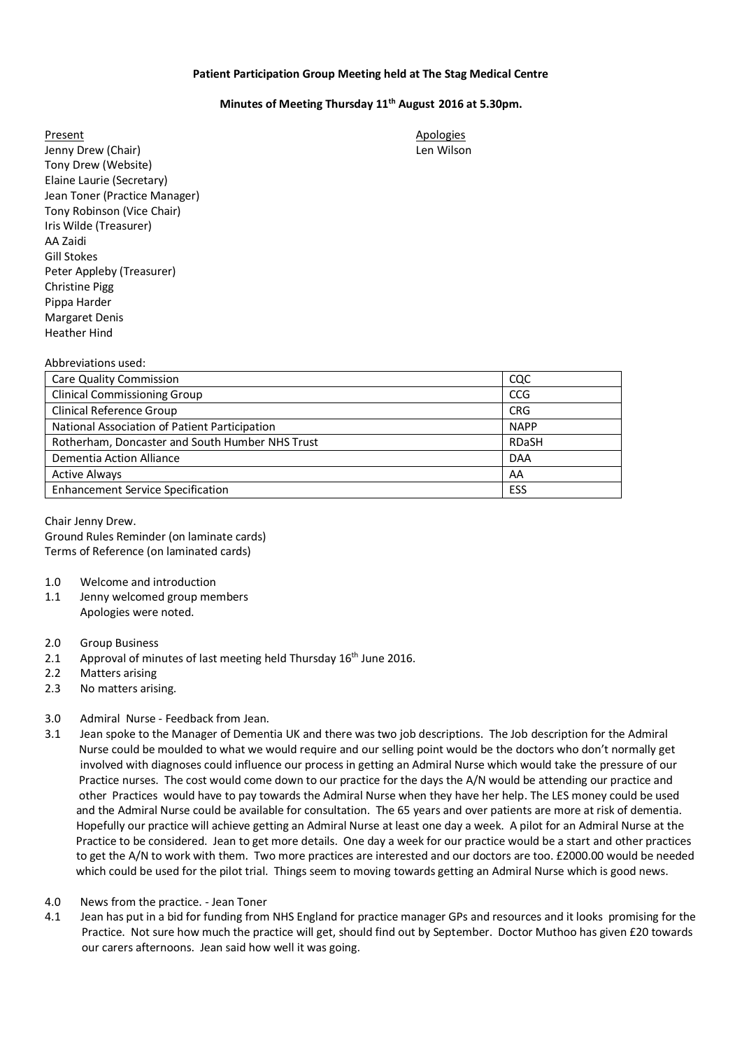## **Patient Participation Group Meeting held at The Stag Medical Centre**

## **Minutes of Meeting Thursday 11th August 2016 at 5.30pm.**

Present Apologies and Apologies and Apologies and Apologies and Apologies and Apologies and Apologies and Apologies Jenny Drew (Chair) Len Wilson Tony Drew (Website) Elaine Laurie (Secretary) Jean Toner (Practice Manager) Tony Robinson (Vice Chair) Iris Wilde (Treasurer) AA Zaidi Gill Stokes Peter Appleby (Treasurer) Christine Pigg Pippa Harder Margaret Denis Heather Hind

| Abbreviations used:                             |              |
|-------------------------------------------------|--------------|
| <b>Care Quality Commission</b>                  | <b>CQC</b>   |
| <b>Clinical Commissioning Group</b>             | <b>CCG</b>   |
| <b>Clinical Reference Group</b>                 | <b>CRG</b>   |
| National Association of Patient Participation   | <b>NAPP</b>  |
| Rotherham, Doncaster and South Humber NHS Trust | <b>RDaSH</b> |
| Dementia Action Alliance                        | <b>DAA</b>   |
| <b>Active Always</b>                            | AA           |
| <b>Enhancement Service Specification</b>        | ESS          |
|                                                 |              |

Chair Jenny Drew. Ground Rules Reminder (on laminate cards) Terms of Reference (on laminated cards)

- 1.0 Welcome and introduction
- 1.1 Jenny welcomed group members Apologies were noted.
- 2.0 Group Business
- 2.1 Approval of minutes of last meeting held Thursday  $16<sup>th</sup>$  June 2016.
- 2.2 Matters arising
- 2.3 No matters arising.

## 3.0 Admiral Nurse - Feedback from Jean.

- 3.1 Jean spoke to the Manager of Dementia UK and there was two job descriptions. The Job description for the Admiral Nurse could be moulded to what we would require and our selling point would be the doctors who don't normally get involved with diagnoses could influence our process in getting an Admiral Nurse which would take the pressure of our Practice nurses. The cost would come down to our practice for the days the A/N would be attending our practice and other Practices would have to pay towards the Admiral Nurse when they have her help. The LES money could be used and the Admiral Nurse could be available for consultation. The 65 years and over patients are more at risk of dementia. Hopefully our practice will achieve getting an Admiral Nurse at least one day a week. A pilot for an Admiral Nurse at the Practice to be considered. Jean to get more details. One day a week for our practice would be a start and other practices to get the A/N to work with them. Two more practices are interested and our doctors are too. £2000.00 would be needed which could be used for the pilot trial. Things seem to moving towards getting an Admiral Nurse which is good news.
- 4.0 News from the practice. Jean Toner
- 4.1 Jean has put in a bid for funding from NHS England for practice manager GPs and resources and it looks promising for the Practice. Not sure how much the practice will get, should find out by September. Doctor Muthoo has given £20 towards our carers afternoons. Jean said how well it was going.